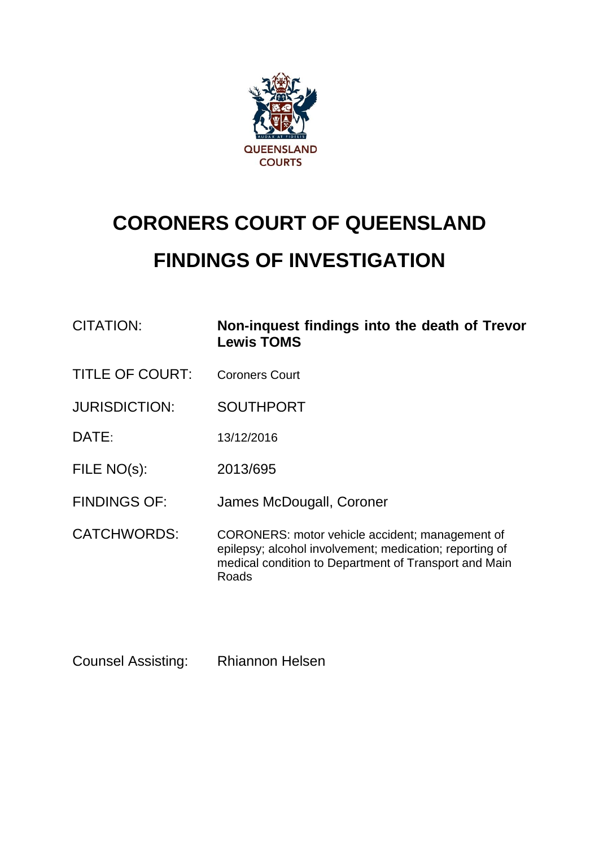

# **CORONERS COURT OF QUEENSLAND FINDINGS OF INVESTIGATION**

| CITATION:              | Non-inquest findings into the death of Trevor<br><b>Lewis TOMS</b>                                                                                                           |
|------------------------|------------------------------------------------------------------------------------------------------------------------------------------------------------------------------|
| <b>TITLE OF COURT:</b> | <b>Coroners Court</b>                                                                                                                                                        |
| <b>JURISDICTION:</b>   | <b>SOUTHPORT</b>                                                                                                                                                             |
| DATE:                  | 13/12/2016                                                                                                                                                                   |
| FILE NO(s):            | 2013/695                                                                                                                                                                     |
| <b>FINDINGS OF:</b>    | James McDougall, Coroner                                                                                                                                                     |
| <b>CATCHWORDS:</b>     | CORONERS: motor vehicle accident; management of<br>epilepsy; alcohol involvement; medication; reporting of<br>medical condition to Department of Transport and Main<br>Roads |

Counsel Assisting: Rhiannon Helsen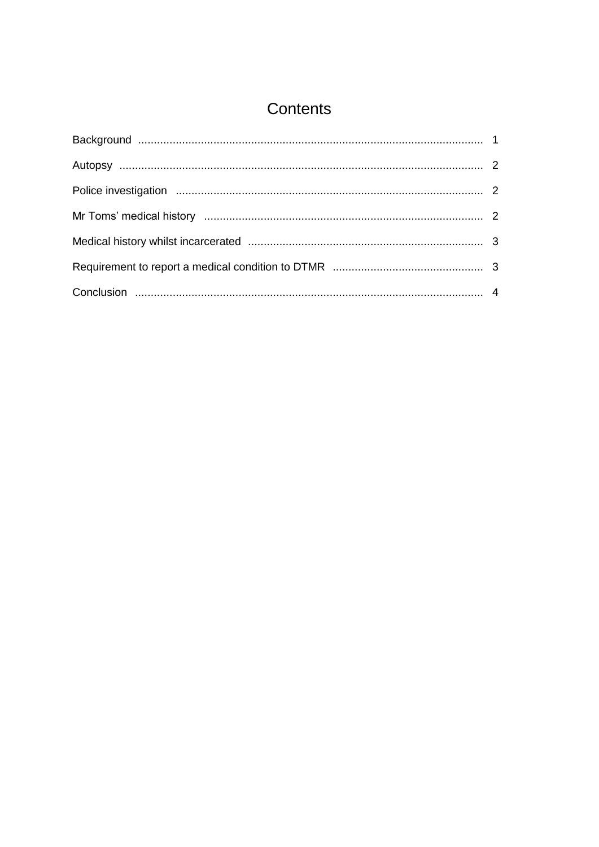# Contents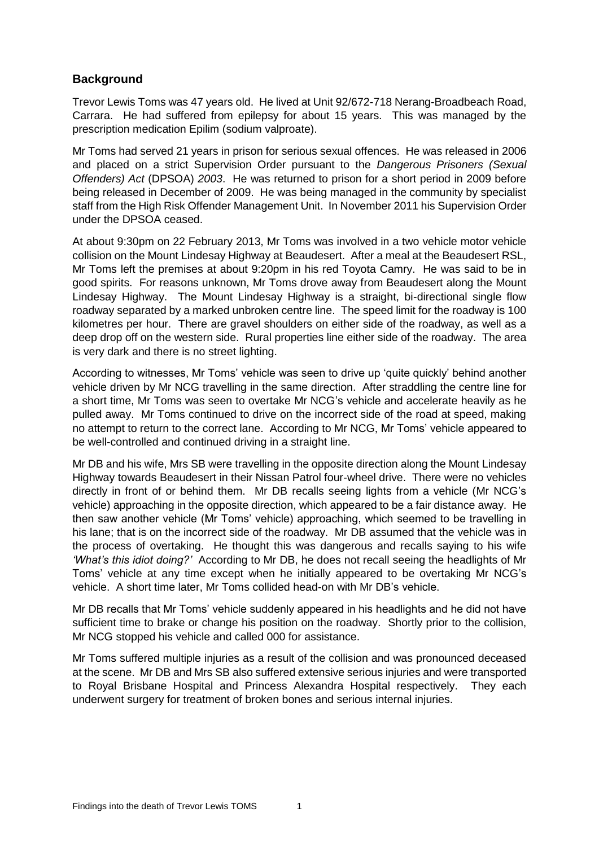# <span id="page-2-0"></span>**Background**

Trevor Lewis Toms was 47 years old. He lived at Unit 92/672-718 Nerang-Broadbeach Road, Carrara. He had suffered from epilepsy for about 15 years. This was managed by the prescription medication Epilim (sodium valproate).

Mr Toms had served 21 years in prison for serious sexual offences. He was released in 2006 and placed on a strict Supervision Order pursuant to the *Dangerous Prisoners (Sexual Offenders) Act* (DPSOA) *2003*. He was returned to prison for a short period in 2009 before being released in December of 2009. He was being managed in the community by specialist staff from the High Risk Offender Management Unit. In November 2011 his Supervision Order under the DPSOA ceased.

At about 9:30pm on 22 February 2013, Mr Toms was involved in a two vehicle motor vehicle collision on the Mount Lindesay Highway at Beaudesert. After a meal at the Beaudesert RSL, Mr Toms left the premises at about 9:20pm in his red Toyota Camry. He was said to be in good spirits. For reasons unknown, Mr Toms drove away from Beaudesert along the Mount Lindesay Highway. The Mount Lindesay Highway is a straight, bi-directional single flow roadway separated by a marked unbroken centre line. The speed limit for the roadway is 100 kilometres per hour. There are gravel shoulders on either side of the roadway, as well as a deep drop off on the western side. Rural properties line either side of the roadway. The area is very dark and there is no street lighting.

According to witnesses, Mr Toms' vehicle was seen to drive up 'quite quickly' behind another vehicle driven by Mr NCG travelling in the same direction. After straddling the centre line for a short time, Mr Toms was seen to overtake Mr NCG's vehicle and accelerate heavily as he pulled away. Mr Toms continued to drive on the incorrect side of the road at speed, making no attempt to return to the correct lane. According to Mr NCG, Mr Toms' vehicle appeared to be well-controlled and continued driving in a straight line.

Mr DB and his wife, Mrs SB were travelling in the opposite direction along the Mount Lindesay Highway towards Beaudesert in their Nissan Patrol four-wheel drive. There were no vehicles directly in front of or behind them. Mr DB recalls seeing lights from a vehicle (Mr NCG's vehicle) approaching in the opposite direction, which appeared to be a fair distance away. He then saw another vehicle (Mr Toms' vehicle) approaching, which seemed to be travelling in his lane; that is on the incorrect side of the roadway. Mr DB assumed that the vehicle was in the process of overtaking. He thought this was dangerous and recalls saying to his wife *'What's this idiot doing?'* According to Mr DB, he does not recall seeing the headlights of Mr Toms' vehicle at any time except when he initially appeared to be overtaking Mr NCG's vehicle. A short time later, Mr Toms collided head-on with Mr DB's vehicle.

Mr DB recalls that Mr Toms' vehicle suddenly appeared in his headlights and he did not have sufficient time to brake or change his position on the roadway. Shortly prior to the collision, Mr NCG stopped his vehicle and called 000 for assistance.

<span id="page-2-1"></span>Mr Toms suffered multiple injuries as a result of the collision and was pronounced deceased at the scene. Mr DB and Mrs SB also suffered extensive serious injuries and were transported to Royal Brisbane Hospital and Princess Alexandra Hospital respectively. They each underwent surgery for treatment of broken bones and serious internal injuries.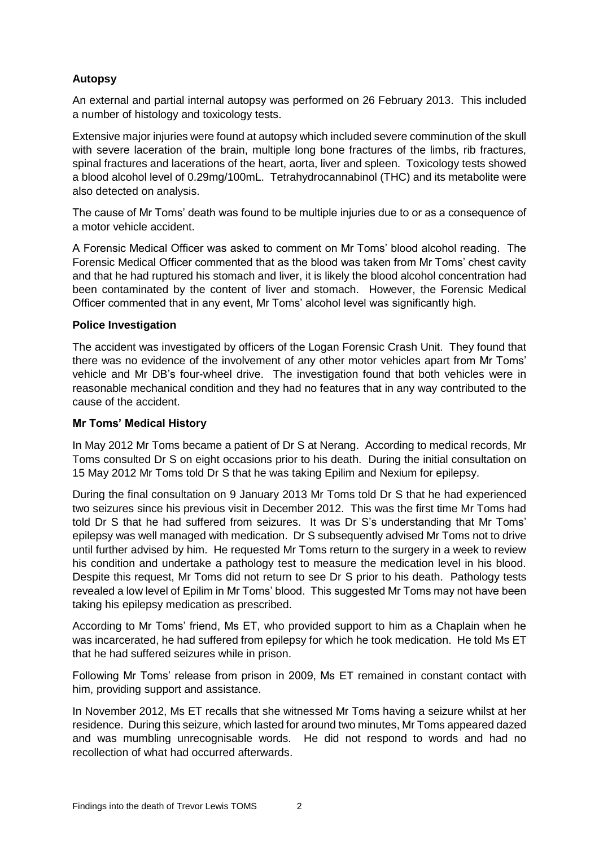## **Autopsy**

An external and partial internal autopsy was performed on 26 February 2013. This included a number of histology and toxicology tests.

Extensive major injuries were found at autopsy which included severe comminution of the skull with severe laceration of the brain, multiple long bone fractures of the limbs, rib fractures, spinal fractures and lacerations of the heart, aorta, liver and spleen. Toxicology tests showed a blood alcohol level of 0.29mg/100mL. Tetrahydrocannabinol (THC) and its metabolite were also detected on analysis.

The cause of Mr Toms' death was found to be multiple injuries due to or as a consequence of a motor vehicle accident.

A Forensic Medical Officer was asked to comment on Mr Toms' blood alcohol reading. The Forensic Medical Officer commented that as the blood was taken from Mr Toms' chest cavity and that he had ruptured his stomach and liver, it is likely the blood alcohol concentration had been contaminated by the content of liver and stomach. However, the Forensic Medical Officer commented that in any event, Mr Toms' alcohol level was significantly high.

#### <span id="page-3-0"></span>**Police Investigation**

The accident was investigated by officers of the Logan Forensic Crash Unit. They found that there was no evidence of the involvement of any other motor vehicles apart from Mr Toms' vehicle and Mr DB's four-wheel drive. The investigation found that both vehicles were in reasonable mechanical condition and they had no features that in any way contributed to the cause of the accident.

#### <span id="page-3-1"></span>**Mr Toms' Medical History**

In May 2012 Mr Toms became a patient of Dr S at Nerang. According to medical records, Mr Toms consulted Dr S on eight occasions prior to his death. During the initial consultation on 15 May 2012 Mr Toms told Dr S that he was taking Epilim and Nexium for epilepsy.

During the final consultation on 9 January 2013 Mr Toms told Dr S that he had experienced two seizures since his previous visit in December 2012. This was the first time Mr Toms had told Dr S that he had suffered from seizures. It was Dr S's understanding that Mr Toms' epilepsy was well managed with medication. Dr S subsequently advised Mr Toms not to drive until further advised by him. He requested Mr Toms return to the surgery in a week to review his condition and undertake a pathology test to measure the medication level in his blood. Despite this request, Mr Toms did not return to see Dr S prior to his death. Pathology tests revealed a low level of Epilim in Mr Toms' blood. This suggested Mr Toms may not have been taking his epilepsy medication as prescribed.

According to Mr Toms' friend, Ms ET, who provided support to him as a Chaplain when he was incarcerated, he had suffered from epilepsy for which he took medication. He told Ms ET that he had suffered seizures while in prison.

Following Mr Toms' release from prison in 2009, Ms ET remained in constant contact with him, providing support and assistance.

In November 2012, Ms ET recalls that she witnessed Mr Toms having a seizure whilst at her residence. During this seizure, which lasted for around two minutes, Mr Toms appeared dazed and was mumbling unrecognisable words. He did not respond to words and had no recollection of what had occurred afterwards.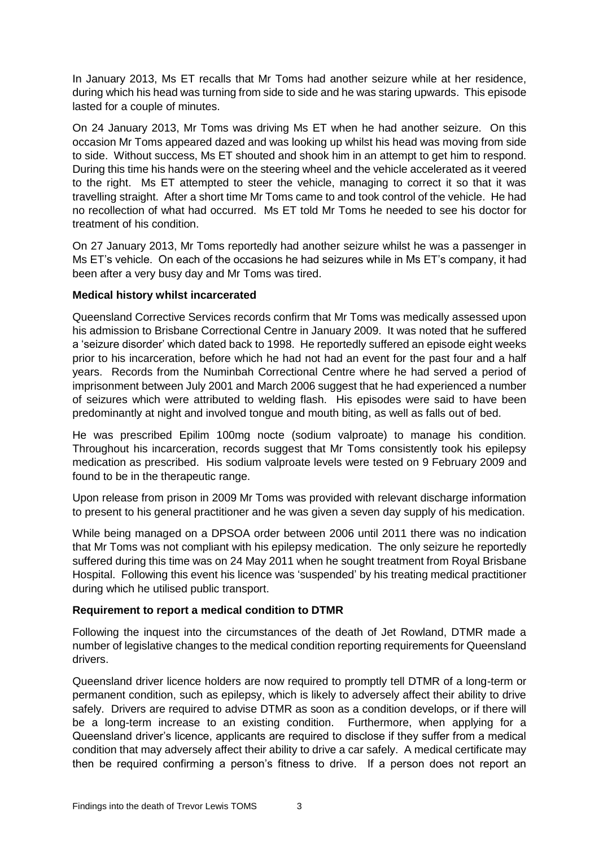In January 2013, Ms ET recalls that Mr Toms had another seizure while at her residence, during which his head was turning from side to side and he was staring upwards. This episode lasted for a couple of minutes.

On 24 January 2013, Mr Toms was driving Ms ET when he had another seizure. On this occasion Mr Toms appeared dazed and was looking up whilst his head was moving from side to side. Without success, Ms ET shouted and shook him in an attempt to get him to respond. During this time his hands were on the steering wheel and the vehicle accelerated as it veered to the right. Ms ET attempted to steer the vehicle, managing to correct it so that it was travelling straight. After a short time Mr Toms came to and took control of the vehicle. He had no recollection of what had occurred. Ms ET told Mr Toms he needed to see his doctor for treatment of his condition.

On 27 January 2013, Mr Toms reportedly had another seizure whilst he was a passenger in Ms ET's vehicle. On each of the occasions he had seizures while in Ms ET's company, it had been after a very busy day and Mr Toms was tired.

#### <span id="page-4-0"></span>**Medical history whilst incarcerated**

Queensland Corrective Services records confirm that Mr Toms was medically assessed upon his admission to Brisbane Correctional Centre in January 2009. It was noted that he suffered a 'seizure disorder' which dated back to 1998. He reportedly suffered an episode eight weeks prior to his incarceration, before which he had not had an event for the past four and a half years. Records from the Numinbah Correctional Centre where he had served a period of imprisonment between July 2001 and March 2006 suggest that he had experienced a number of seizures which were attributed to welding flash. His episodes were said to have been predominantly at night and involved tongue and mouth biting, as well as falls out of bed.

He was prescribed Epilim 100mg nocte (sodium valproate) to manage his condition. Throughout his incarceration, records suggest that Mr Toms consistently took his epilepsy medication as prescribed. His sodium valproate levels were tested on 9 February 2009 and found to be in the therapeutic range.

Upon release from prison in 2009 Mr Toms was provided with relevant discharge information to present to his general practitioner and he was given a seven day supply of his medication.

While being managed on a DPSOA order between 2006 until 2011 there was no indication that Mr Toms was not compliant with his epilepsy medication. The only seizure he reportedly suffered during this time was on 24 May 2011 when he sought treatment from Royal Brisbane Hospital. Following this event his licence was 'suspended' by his treating medical practitioner during which he utilised public transport.

### <span id="page-4-1"></span>**Requirement to report a medical condition to DTMR**

Following the inquest into the circumstances of the death of Jet Rowland, DTMR made a number of legislative changes to the medical condition reporting requirements for Queensland drivers.

Queensland driver licence holders are now required to promptly tell DTMR of a long-term or permanent condition, such as epilepsy, which is likely to adversely affect their ability to drive safely. Drivers are required to advise DTMR as soon as a condition develops, or if there will be a long-term increase to an existing condition. Furthermore, when applying for a Queensland driver's licence, applicants are required to disclose if they suffer from a medical condition that may adversely affect their ability to drive a car safely. A medical certificate may then be required confirming a person's fitness to drive. If a person does not report an